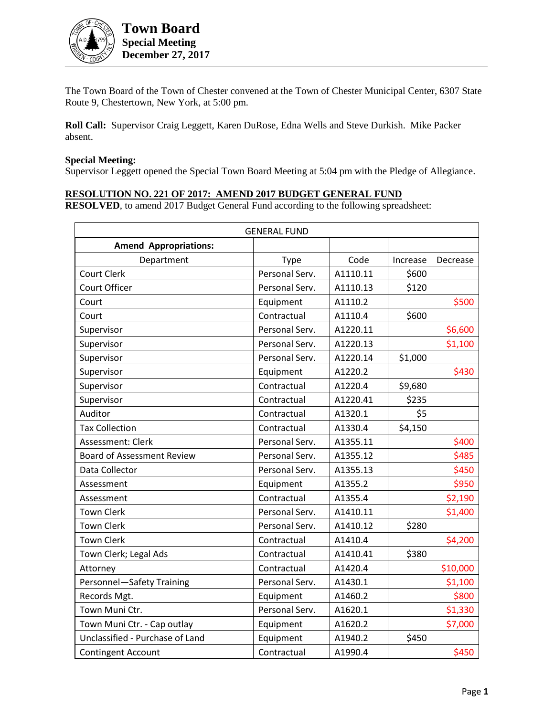

The Town Board of the Town of Chester convened at the Town of Chester Municipal Center, 6307 State Route 9, Chestertown, New York, at 5:00 pm.

**Roll Call:** Supervisor Craig Leggett, Karen DuRose, Edna Wells and Steve Durkish. Mike Packer absent.

#### **Special Meeting:**

Supervisor Leggett opened the Special Town Board Meeting at 5:04 pm with the Pledge of Allegiance.

### **RESOLUTION NO. 221 OF 2017: AMEND 2017 BUDGET GENERAL FUND**

**RESOLVED**, to amend 2017 Budget General Fund according to the following spreadsheet:

| <b>GENERAL FUND</b>               |                |          |          |          |
|-----------------------------------|----------------|----------|----------|----------|
| <b>Amend Appropriations:</b>      |                |          |          |          |
| Department                        | <b>Type</b>    | Code     | Increase | Decrease |
| Court Clerk                       | Personal Serv. | A1110.11 | \$600    |          |
| Court Officer                     | Personal Serv. | A1110.13 | \$120    |          |
| Court                             | Equipment      | A1110.2  |          | \$500    |
| Court                             | Contractual    | A1110.4  | \$600    |          |
| Supervisor                        | Personal Serv. | A1220.11 |          | \$6,600  |
| Supervisor                        | Personal Serv. | A1220.13 |          | \$1,100  |
| Supervisor                        | Personal Serv. | A1220.14 | \$1,000  |          |
| Supervisor                        | Equipment      | A1220.2  |          | \$430    |
| Supervisor                        | Contractual    | A1220.4  | \$9,680  |          |
| Supervisor                        | Contractual    | A1220.41 | \$235    |          |
| Auditor                           | Contractual    | A1320.1  | \$5      |          |
| <b>Tax Collection</b>             | Contractual    | A1330.4  | \$4,150  |          |
| Assessment: Clerk                 | Personal Serv. | A1355.11 |          | \$400    |
| <b>Board of Assessment Review</b> | Personal Serv. | A1355.12 |          | \$485    |
| Data Collector                    | Personal Serv. | A1355.13 |          | \$450    |
| Assessment                        | Equipment      | A1355.2  |          | \$950    |
| Assessment                        | Contractual    | A1355.4  |          | \$2,190  |
| <b>Town Clerk</b>                 | Personal Serv. | A1410.11 |          | \$1,400  |
| <b>Town Clerk</b>                 | Personal Serv. | A1410.12 | \$280    |          |
| <b>Town Clerk</b>                 | Contractual    | A1410.4  |          | \$4,200  |
| Town Clerk; Legal Ads             | Contractual    | A1410.41 | \$380    |          |
| Attorney                          | Contractual    | A1420.4  |          | \$10,000 |
| Personnel-Safety Training         | Personal Serv. | A1430.1  |          | \$1,100  |
| Records Mgt.                      | Equipment      | A1460.2  |          | \$800    |
| Town Muni Ctr.                    | Personal Serv. | A1620.1  |          | \$1,330  |
| Town Muni Ctr. - Cap outlay       | Equipment      | A1620.2  |          | \$7,000  |
| Unclassified - Purchase of Land   | Equipment      | A1940.2  | \$450    |          |
| <b>Contingent Account</b>         | Contractual    | A1990.4  |          | \$450    |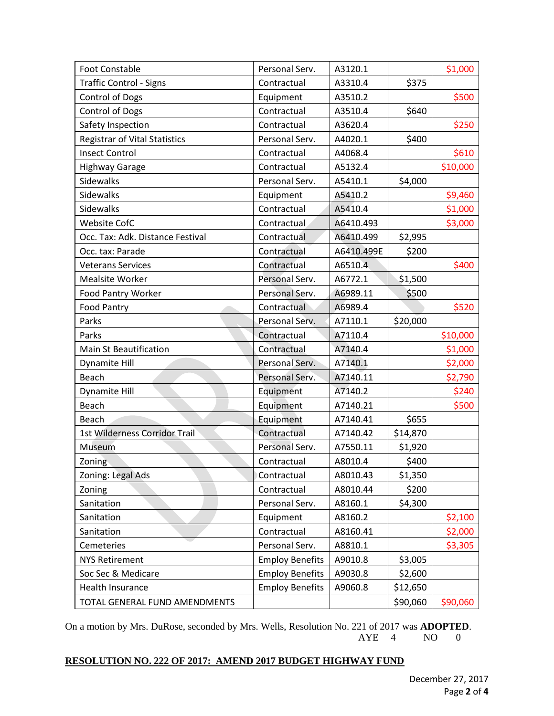| <b>Foot Constable</b>                | Personal Serv.         | A3120.1    |          | \$1,000  |
|--------------------------------------|------------------------|------------|----------|----------|
| <b>Traffic Control - Signs</b>       | Contractual            | A3310.4    | \$375    |          |
| <b>Control of Dogs</b>               | Equipment              | A3510.2    |          | \$500    |
| <b>Control of Dogs</b>               | Contractual            | A3510.4    | \$640    |          |
| Safety Inspection                    | Contractual            | A3620.4    |          | \$250    |
| <b>Registrar of Vital Statistics</b> | Personal Serv.         | A4020.1    | \$400    |          |
| <b>Insect Control</b>                | Contractual            | A4068.4    |          | \$610    |
| <b>Highway Garage</b>                | Contractual            | A5132.4    |          | \$10,000 |
| <b>Sidewalks</b>                     | Personal Serv.         | A5410.1    | \$4,000  |          |
| <b>Sidewalks</b>                     | Equipment              | A5410.2    |          | \$9,460  |
| <b>Sidewalks</b>                     | Contractual            | A5410.4    |          | \$1,000  |
| <b>Website CofC</b>                  | Contractual            | A6410.493  |          | \$3,000  |
| Occ. Tax: Adk. Distance Festival     | Contractual            | A6410.499  | \$2,995  |          |
| Occ. tax: Parade                     | Contractual            | A6410.499E | \$200    |          |
| <b>Veterans Services</b>             | Contractual            | A6510.4    |          | \$400    |
| <b>Mealsite Worker</b>               | Personal Serv.         | A6772.1    | \$1,500  |          |
| Food Pantry Worker                   | Personal Serv.         | A6989.11   | \$500    |          |
| <b>Food Pantry</b>                   | Contractual            | A6989.4    |          | \$520    |
| Parks                                | Personal Serv.         | A7110.1    | \$20,000 |          |
| Parks                                | Contractual            | A7110.4    |          | \$10,000 |
| <b>Main St Beautification</b>        | Contractual            | A7140.4    |          | \$1,000  |
| Dynamite Hill                        | Personal Serv.         | A7140.1    |          | \$2,000  |
| Beach                                | Personal Serv.         | A7140.11   |          | \$2,790  |
| Dynamite Hill                        | Equipment              | A7140.2    |          | \$240    |
| Beach                                | Equipment              | A7140.21   |          | \$500    |
| Beach                                | Equipment              | A7140.41   | \$655    |          |
| 1st Wilderness Corridor Trail        | Contractual            | A7140.42   | \$14,870 |          |
| Museum                               | Personal Serv.         | A7550.11   | \$1,920  |          |
| Zoning                               | Contractual            | A8010.4    | \$400    |          |
| Zoning: Legal Ads                    | Contractual            | A8010.43   | \$1,350  |          |
| Zoning                               | Contractual            | A8010.44   | \$200    |          |
| Sanitation                           | Personal Serv.         | A8160.1    | \$4,300  |          |
| Sanitation                           | Equipment              | A8160.2    |          | \$2,100  |
| Sanitation                           | Contractual            | A8160.41   |          | \$2,000  |
| Cemeteries                           | Personal Serv.         | A8810.1    |          | \$3,305  |
| <b>NYS Retirement</b>                | <b>Employ Benefits</b> | A9010.8    | \$3,005  |          |
| Soc Sec & Medicare                   | <b>Employ Benefits</b> | A9030.8    | \$2,600  |          |
| <b>Health Insurance</b>              | <b>Employ Benefits</b> | A9060.8    | \$12,650 |          |
| TOTAL GENERAL FUND AMENDMENTS        |                        |            | \$90,060 | \$90,060 |

On a motion by Mrs. DuRose, seconded by Mrs. Wells, Resolution No. 221 of 2017 was **ADOPTED**. AYE 4 NO 0

# **RESOLUTION NO. 222 OF 2017: AMEND 2017 BUDGET HIGHWAY FUND**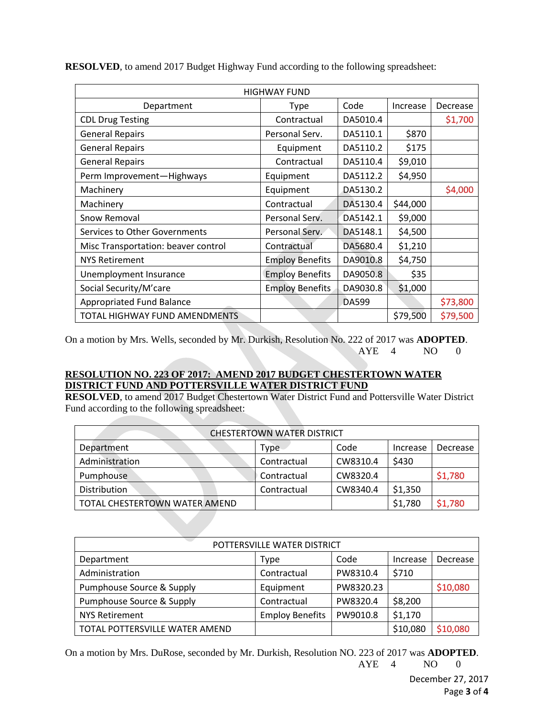| <b>HIGHWAY FUND</b>                 |                        |          |          |          |
|-------------------------------------|------------------------|----------|----------|----------|
| Department                          | <b>Type</b>            | Code     | Increase | Decrease |
| <b>CDL Drug Testing</b>             | Contractual            | DA5010.4 |          | \$1,700  |
| <b>General Repairs</b>              | Personal Serv.         | DA5110.1 | \$870    |          |
| <b>General Repairs</b>              | Equipment              | DA5110.2 | \$175    |          |
| <b>General Repairs</b>              | Contractual            | DA5110.4 | \$9,010  |          |
| Perm Improvement-Highways           | Equipment              | DA5112.2 | \$4,950  |          |
| Machinery                           | Equipment              | DA5130.2 |          | \$4,000  |
| Machinery                           | Contractual            | DA5130.4 | \$44,000 |          |
| Snow Removal                        | Personal Serv.         | DA5142.1 | \$9,000  |          |
| Services to Other Governments       | Personal Serv.         | DA5148.1 | \$4,500  |          |
| Misc Transportation: beaver control | Contractual            | DA5680.4 | \$1,210  |          |
| <b>NYS Retirement</b>               | <b>Employ Benefits</b> | DA9010.8 | \$4,750  |          |
| Unemployment Insurance              | <b>Employ Benefits</b> | DA9050.8 | \$35     |          |
| Social Security/M'care              | <b>Employ Benefits</b> | DA9030.8 | \$1,000  |          |
| Appropriated Fund Balance           |                        | DA599    |          | \$73,800 |
| TOTAL HIGHWAY FUND AMENDMENTS       |                        |          | \$79,500 | \$79,500 |

**RESOLVED**, to amend 2017 Budget Highway Fund according to the following spreadsheet:

On a motion by Mrs. Wells, seconded by Mr. Durkish, Resolution No. 222 of 2017 was **ADOPTED**. AYE 4 NO 0

## **RESOLUTION NO. 223 OF 2017: AMEND 2017 BUDGET CHESTERTOWN WATER DISTRICT FUND AND POTTERSVILLE WATER DISTRICT FUND**

**RESOLVED**, to amend 2017 Budget Chestertown Water District Fund and Pottersville Water District Fund according to the following spreadsheet:

| <b>CHESTERTOWN WATER DISTRICT</b> |             |          |          |          |
|-----------------------------------|-------------|----------|----------|----------|
| Department                        | Type        | Code     | Increase | Decrease |
| Administration                    | Contractual | CW8310.4 | \$430    |          |
| Pumphouse                         | Contractual | CW8320.4 |          | \$1,780  |
| Distribution                      | Contractual | CW8340.4 | \$1,350  |          |
| TOTAL CHESTERTOWN WATER AMEND     |             |          | \$1,780  | \$1,780  |

| POTTERSVILLE WATER DISTRICT    |                        |           |          |          |
|--------------------------------|------------------------|-----------|----------|----------|
| Department                     | Type                   | Code      | Increase | Decrease |
| Administration                 | Contractual            | PW8310.4  | \$710    |          |
| Pumphouse Source & Supply      | Equipment              | PW8320.23 |          | \$10,080 |
| Pumphouse Source & Supply      | Contractual            | PW8320.4  | \$8,200  |          |
| <b>NYS Retirement</b>          | <b>Employ Benefits</b> | PW9010.8  | \$1,170  |          |
| TOTAL POTTERSVILLE WATER AMEND |                        |           | \$10,080 | \$10,080 |

On a motion by Mrs. DuRose, seconded by Mr. Durkish, Resolution NO. 223 of 2017 was **ADOPTED**. AYE 4 NO 0

> December 27, 2017 Page **3** of **4**